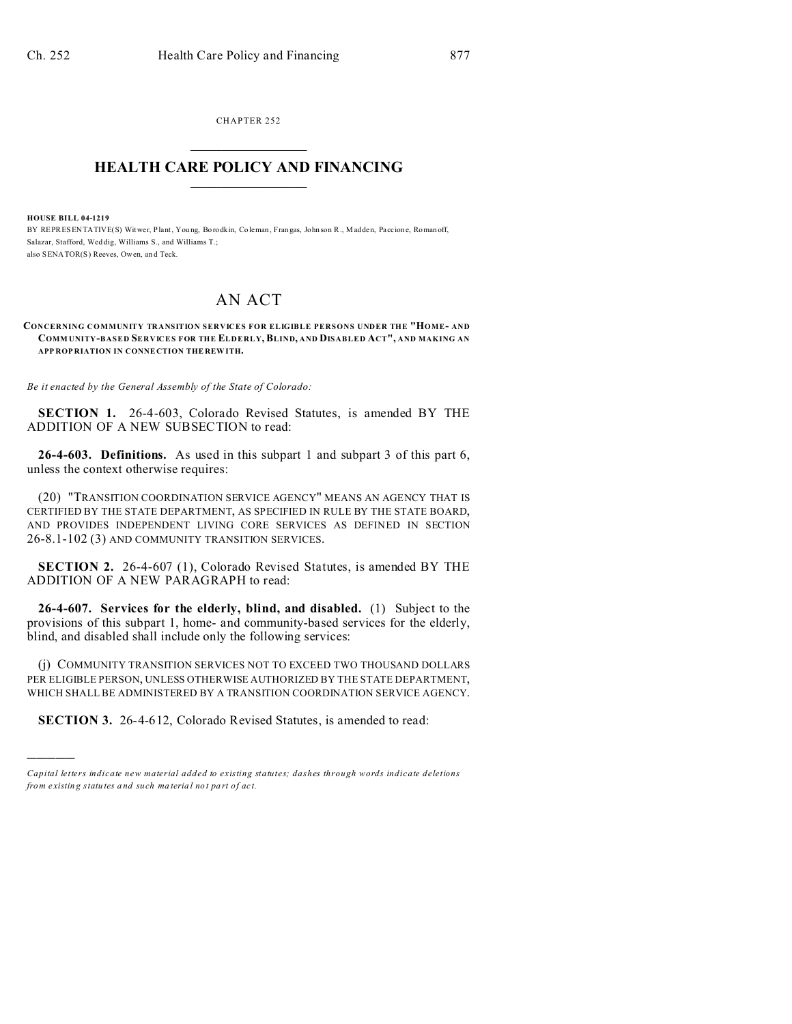CHAPTER 252

## **HEALTH CARE POLICY AND FINANCING**

**HOUSE BILL 04-1219** 

BY REPRESENTATIVE(S) Witwer, Plant, Young, Borodkin, Coleman, Frangas, Johnson R., Madden, Paccione, Romanoff, Salazar, Stafford, Weddig, Williams S., and Williams T.; also SENATOR(S) Reeves, Owen, and Teck

## **AN ACT**

CONCERNING COMMUNITY TRANSITION SERVICES FOR ELIGIBLE PERSONS UNDER THE "HOME- AND COMMUNITY-BASED SERVICES FOR THE ELDERLY, BLIND, AND DISABLED ACT", AND MAKING AN APP ROP RIATION IN CONNECTION THE REWITH.

Be it enacted by the General Assembly of the State of Colorado:

SECTION 1. 26-4-603, Colorado Revised Statutes, is amended BY THE ADDITION OF A NEW SUBSECTION to read:

26-4-603. Definitions. As used in this subpart 1 and subpart 3 of this part 6, unless the context otherwise requires:

(20) "TRANSITION COORDINATION SERVICE AGENCY" MEANS AN AGENCY THAT IS CERTIFIED BY THE STATE DEPARTMENT, AS SPECIFIED IN RULE BY THE STATE BOARD, AND PROVIDES INDEPENDENT LIVING CORE SERVICES AS DEFINED IN SECTION 26-8.1-102 (3) AND COMMUNITY TRANSITION SERVICES.

SECTION 2. 26-4-607 (1), Colorado Revised Statutes, is amended BY THE ADDITION OF A NEW PARAGRAPH to read:

26-4-607. Services for the elderly, blind, and disabled. (1) Subject to the provisions of this subpart 1, home- and community-based services for the elderly, blind, and disabled shall include only the following services:

(j) COMMUNITY TRANSITION SERVICES NOT TO EXCEED TWO THOUSAND DOLLARS PER ELIGIBLE PERSON, UNLESS OTHERWISE AUTHORIZED BY THE STATE DEPARTMENT, WHICH SHALL BE ADMINISTERED BY A TRANSITION COORDINATION SERVICE AGENCY.

**SECTION 3.** 26-4-612, Colorado Revised Statutes, is amended to read:

Capital letters indicate new material added to existing statutes; dashes through words indicate deletions from existing statutes and such material not part of act.